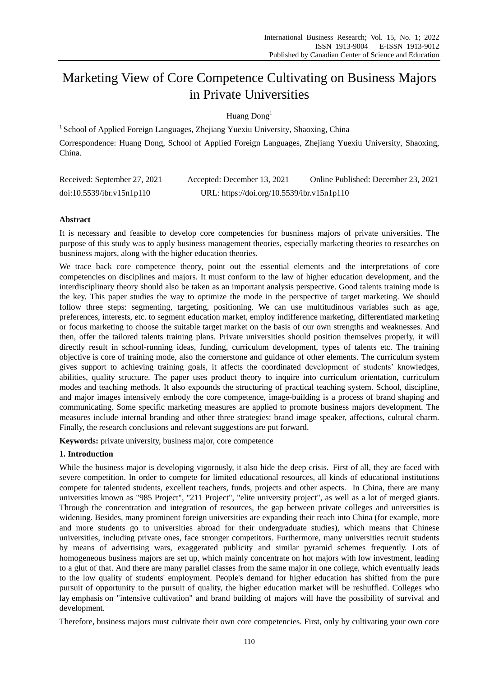# Marketing View of Core Competence Cultivating on Business Majors in Private Universities

Huang Dong<sup>1</sup>

<sup>1</sup> School of Applied Foreign Languages, Zhejiang Yuexiu University, Shaoxing, China Correspondence: Huang Dong, School of Applied Foreign Languages, Zhejiang Yuexiu University, Shaoxing, China.

| Received: September 27, 2021 | Accepted: December 13, 2021                | Online Published: December 23, 2021 |
|------------------------------|--------------------------------------------|-------------------------------------|
| doi:10.5539/ibr.v15n1p110    | URL: https://doi.org/10.5539/ibr.v15n1p110 |                                     |

## **Abstract**

It is necessary and feasible to develop core competencies for busniness majors of private universities. The purpose of this study was to apply business management theories, especially marketing theories to researches on busniness majors, along with the higher education theories.

We trace back core competence theory, point out the essential elements and the interpretations of core competencies on disciplines and majors. It must conform to the law of higher education development, and the interdisciplinary theory should also be taken as an important analysis perspective. Good talents training mode is the key. This paper studies the way to optimize the mode in the perspective of target marketing. We should follow three steps: segmenting, targeting, positioning. We can use multitudinous variables such as age, preferences, interests, etc. to segment education market, employ indifference marketing, differentiated marketing or focus marketing to choose the suitable target market on the basis of our own strengths and weaknesses. And then, offer the tailored talents training plans. Private universities should position themselves properly, it will directly result in school-running ideas, funding, curriculum development, types of talents etc. The training objective is core of training mode, also the cornerstone and guidance of other elements. The curriculum system gives support to achieving training goals, it affects the coordinated development of students' knowledges, abilities, quality structure. The paper uses product theory to inquire into curriculum orientation, curriculum modes and teaching methods. It also expounds the structuring of practical teaching system. School, discipline, and major images intensively embody the core competence, image-building is a process of brand shaping and communicating. Some specific marketing measures are applied to promote business majors development. The measures include internal branding and other three strategies: brand image speaker, affections, cultural charm. Finally, the research conclusions and relevant suggestions are put forward.

**Keywords:** private university, business major, core competence

## **1. Introduction**

While the business major is developing vigorously, it also hide the deep crisis. First of all, they are faced with severe competition. In order to compete for limited educational resources, all kinds of educational institutions compete for talented students, excellent teachers, funds, projects and other aspects. In China, there are many universities known as "985 Project", "211 Project", "elite university project", as well as a lot of merged giants. Through the concentration and integration of resources, the gap between private colleges and universities is widening. Besides, many prominent foreign universities are expanding their reach into China (for example, more and more students go to universities abroad for their undergraduate studies), which means that Chinese universities, including private ones, face stronger competitors. Furthermore, many universities recruit students by means of advertising wars, exaggerated publicity and similar pyramid schemes frequently. Lots of homogeneous business majors are set up, which mainly concentrate on hot majors with low investment, leading to a glut of that. And there are many parallel classes from the same major in one college, which eventually leads to the low quality of students' employment. People's demand for higher education has shifted from the pure pursuit of opportunity to the pursuit of quality, the higher education market will be reshuffled. Colleges who lay emphasis on "intensive cultivation" and brand building of majors will have the possibility of survival and development.

Therefore, business majors must cultivate their own core competencies. First, only by cultivating your own core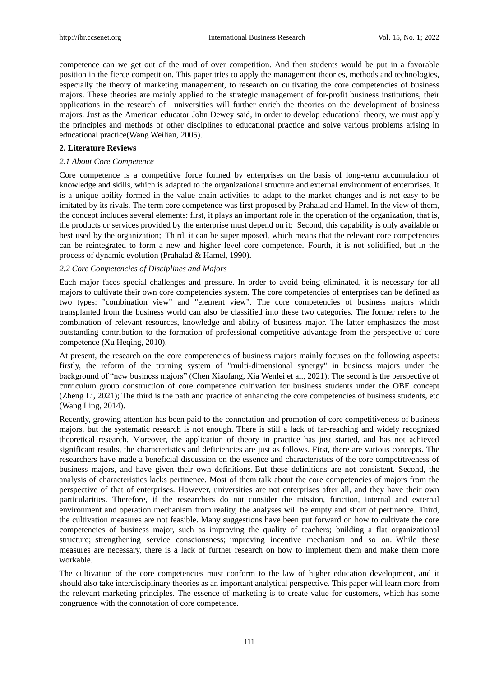competence can we get out of the mud of over competition. And then students would be put in a favorable position in the fierce competition. This paper tries to apply the management theories, methods and technologies, especially the theory of marketing management, to research on cultivating the core competencies of business majors. These theories are mainly applied to the strategic management of for-profit business institutions, their applications in the research of universities will further enrich the theories on the development of business majors. Just as the American educator John Dewey said, in order to develop educational theory, we must apply the principles and methods of other disciplines to educational practice and solve various problems arising in educational practice(Wang Weilian, 2005).

## **2. Literature Reviews**

#### *2.1 About Core Competence*

Core competence is a competitive force formed by enterprises on the basis of long-term accumulation of knowledge and skills, which is adapted to the organizational structure and external environment of enterprises. It is a unique ability formed in the value chain activities to adapt to the market changes and is not easy to be imitated by its rivals. The term core competence was first proposed by Prahalad and Hamel. In the view of them, the concept includes several elements: first, it plays an important role in the operation of the organization, that is, the products or services provided by the enterprise must depend on it; Second, this capability is only available or best used by the organization; Third, it can be superimposed, which means that the relevant core competencies can be reintegrated to form a new and higher level core competence. Fourth, it is not solidified, but in the process of dynamic evolution (Prahalad & Hamel, 1990).

## *2.2 Core Competencies of Disciplines and Majors*

Each major faces special challenges and pressure. In order to avoid being eliminated, it is necessary for all majors to cultivate their own core competencies system. The core competencies of enterprises can be defined as two types: "combination view" and "element view". The core competencies of business majors which transplanted from the business world can also be classified into these two categories. The former refers to the combination of relevant resources, knowledge and ability of business major. The latter emphasizes the most outstanding contribution to the formation of professional competitive advantage from the perspective of core competence (Xu Heqing, 2010).

At present, the research on the core competencies of business majors mainly focuses on the following aspects: firstly, the reform of the training system of "multi-dimensional synergy" in business majors under the background of "new business majors" (Chen Xiaofang, Xia Wenlei et al., 2021); The second is the perspective of curriculum group construction of core competence cultivation for business students under the OBE concept (Zheng Li, 2021); The third is the path and practice of enhancing the core competencies of business students, etc (Wang Ling, 2014).

Recently, growing attention has been paid to the connotation and promotion of core competitiveness of business majors, but the systematic research is not enough. There is still a lack of far-reaching and widely recognized theoretical research. Moreover, the application of theory in practice has just started, and has not achieved significant results, the characteristics and deficiencies are just as follows. First, there are various concepts. The researchers have made a beneficial discussion on the essence and characteristics of the core competitiveness of business majors, and have given their own definitions. But these definitions are not consistent. Second, the analysis of characteristics lacks pertinence. Most of them talk about the core competencies of majors from the perspective of that of enterprises. However, universities are not enterprises after all, and they have their own particularities. Therefore, if the researchers do not consider the mission, function, internal and external environment and operation mechanism from reality, the analyses will be empty and short of pertinence. Third, the cultivation measures are not feasible. Many suggestions have been put forward on how to cultivate the core competencies of business major, such as improving the quality of teachers; building a flat organizational structure; strengthening service consciousness; improving incentive mechanism and so on. While these measures are necessary, there is a lack of further research on how to implement them and make them more workable.

The cultivation of the core competencies must conform to the law of higher education development, and it should also take interdisciplinary theories as an important analytical perspective. This paper will learn more from the relevant marketing principles. The essence of marketing is to create value for customers, which has some congruence with the connotation of core competence.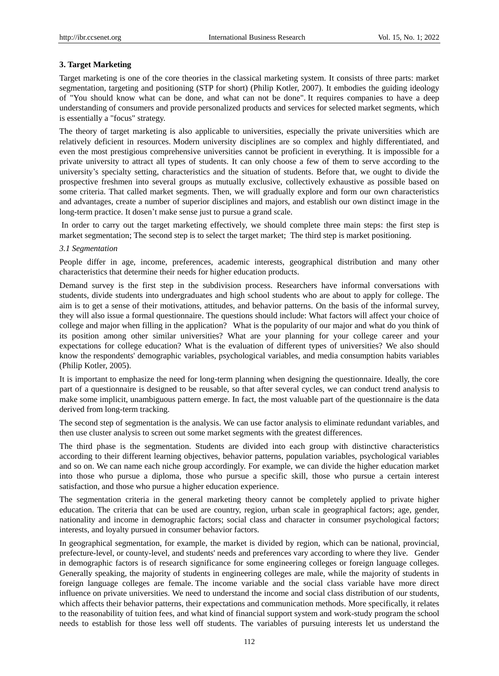## **3. Target Marketing**

Target marketing is one of the core theories in the classical marketing system. It consists of three parts: market segmentation, targeting and positioning (STP for short) (Philip Kotler, 2007). It embodies the guiding ideology of "You should know what can be done, and what can not be done". It requires companies to have a deep understanding of consumers and provide personalized products and services for selected market segments, which is essentially a "focus" strategy.

The theory of target marketing is also applicable to universities, especially the private universities which are relatively deficient in resources. Modern university disciplines are so complex and highly differentiated, and even the most prestigious comprehensive universities cannot be proficient in everything. It is impossible for a private university to attract all types of students. It can only choose a few of them to serve according to the university's specialty setting, characteristics and the situation of students. Before that, we ought to divide the prospective freshmen into several groups as mutually exclusive, collectively exhaustive as possible based on some criteria. That called market segments. Then, we will gradually explore and form our own characteristics and advantages, create a number of superior disciplines and majors, and establish our own distinct image in the long-term practice. It dosen't make sense just to pursue a grand scale.

In order to carry out the target marketing effectively, we should complete three main steps: the first step is market segmentation; The second step is to select the target market; The third step is market positioning.

#### *3.1 Segmentation*

People differ in age, income, preferences, academic interests, geographical distribution and many other characteristics that determine their needs for higher education products.

Demand survey is the first step in the subdivision process. Researchers have informal conversations with students, divide students into undergraduates and high school students who are about to apply for college. The aim is to get a sense of their motivations, attitudes, and behavior patterns. On the basis of the informal survey, they will also issue a formal questionnaire. The questions should include: What factors will affect your choice of college and major when filling in the application? What is the popularity of our major and what do you think of its position among other similar universities? What are your planning for your college career and your expectations for college education? What is the evaluation of different types of universities? We also should know the respondents' demographic variables, psychological variables, and media consumption habits variables (Philip Kotler, 2005).

It is important to emphasize the need for long-term planning when designing the questionnaire. Ideally, the core part of a questionnaire is designed to be reusable, so that after several cycles, we can conduct trend analysis to make some implicit, unambiguous pattern emerge. In fact, the most valuable part of the questionnaire is the data derived from long-term tracking.

The second step of segmentation is the analysis. We can use factor analysis to eliminate redundant variables, and then use cluster analysis to screen out some market segments with the greatest differences.

The third phase is the segmentation. Students are divided into each group with distinctive characteristics according to their different learning objectives, behavior patterns, population variables, psychological variables and so on. We can name each niche group accordingly. For example, we can divide the higher education market into those who pursue a diploma, those who pursue a specific skill, those who pursue a certain interest satisfaction, and those who pursue a higher education experience.

The segmentation criteria in the general marketing theory cannot be completely applied to private higher education. The criteria that can be used are country, region, urban scale in geographical factors; age, gender, nationality and income in demographic factors; social class and character in consumer psychological factors; interests, and loyalty pursued in consumer behavior factors.

In geographical segmentation, for example, the market is divided by region, which can be national, provincial, prefecture-level, or county-level, and students' needs and preferences vary according to where they live. Gender in demographic factors is of research significance for some engineering colleges or foreign language colleges. Generally speaking, the majority of students in engineering colleges are male, while the majority of students in foreign language colleges are female. The income variable and the social class variable have more direct influence on private universities. We need to understand the income and social class distribution of our students, which affects their behavior patterns, their expectations and communication methods. More specifically, it relates to the reasonability of tuition fees, and what kind of financial support system and work-study program the school needs to establish for those less well off students. The variables of pursuing interests let us understand the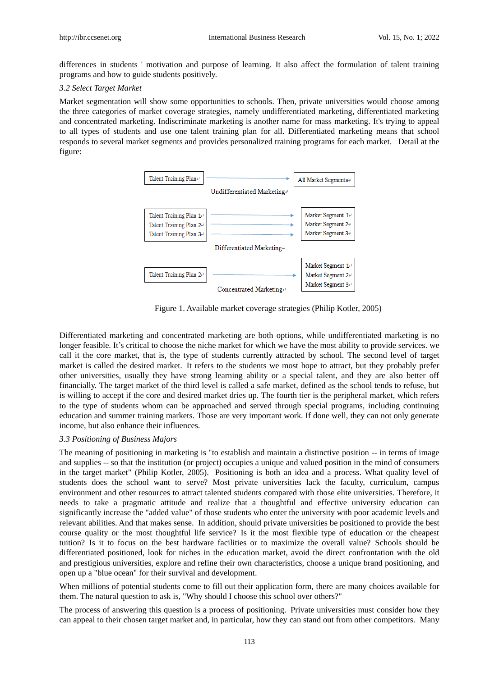differences in students ' motivation and purpose of learning. It also affect the formulation of talent training programs and how to guide students positively.

#### *3.2 Select Target Market*

Market segmentation will show some opportunities to schools. Then, private universities would choose among the three categories of market coverage strategies, namely undifferentiated marketing, differentiated marketing and concentrated marketing. Indiscriminate marketing is another name for mass marketing. It's trying to appeal to all types of students and use one talent training plan for all. Differentiated marketing means that school responds to several market segments and provides personalized training programs for each market. Detail at the figure:



Figure 1. Available market coverage strategies (Philip Kotler, 2005)

Differentiated marketing and concentrated marketing are both options, while undifferentiated marketing is no longer feasible. It's critical to choose the niche market for which we have the most ability to provide services. we call it the core market, that is, the type of students currently attracted by school. The second level of target market is called the desired market. It refers to the students we most hope to attract, but they probably prefer other universities, usually they have strong learning ability or a special talent, and they are also better off financially. The target market of the third level is called a safe market, defined as the school tends to refuse, but is willing to accept if the core and desired market dries up. The fourth tier is the peripheral market, which refers to the type of students whom can be approached and served through special programs, including continuing education and summer training markets. Those are very important work. If done well, they can not only generate income, but also enhance their influences.

#### *3.3 Positioning of Business Majors*

The meaning of positioning in marketing is "to establish and maintain a distinctive position -- in terms of image and supplies -- so that the institution (or project) occupies a unique and valued position in the mind of consumers in the target market" (Philip Kotler, 2005). Positioning is both an idea and a process. What quality level of students does the school want to serve? Most private universities lack the faculty, curriculum, campus environment and other resources to attract talented students compared with those elite universities. Therefore, it needs to take a pragmatic attitude and realize that a thoughtful and effective university education can significantly increase the "added value" of those students who enter the university with poor academic levels and relevant abilities. And that makes sense. In addition, should private universities be positioned to provide the best course quality or the most thoughtful life service? Is it the most flexible type of education or the cheapest tuition? Is it to focus on the best hardware facilities or to maximize the overall value? Schools should be differentiated positioned, look for niches in the education market, avoid the direct confrontation with the old and prestigious universities, explore and refine their own characteristics, choose a unique brand positioning, and open up a "blue ocean" for their survival and development.

When millions of potential students come to fill out their application form, there are many choices available for them. The natural question to ask is, "Why should I choose this school over others?"

The process of answering this question is a process of positioning. Private universities must consider how they can appeal to their chosen target market and, in particular, how they can stand out from other competitors. Many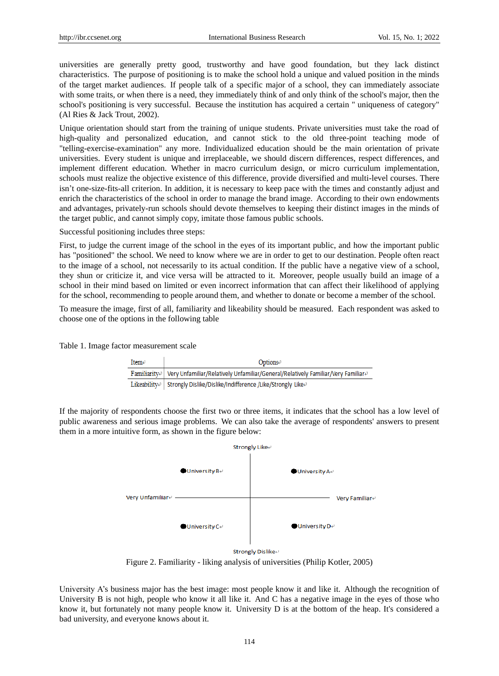universities are generally pretty good, trustworthy and have good foundation, but they lack distinct characteristics. The purpose of positioning is to make the school hold a unique and valued position in the minds of the target market audiences. If people talk of a specific major of a school, they can immediately associate with some traits, or when there is a need, they immediately think of and only think of the school's major, then the school's positioning is very successful. Because the institution has acquired a certain " uniqueness of category" (Al Ries & Jack Trout, 2002).

Unique orientation should start from the training of unique students. Private universities must take the road of high-quality and personalized education, and cannot stick to the old three-point teaching mode of "telling-exercise-examination" any more. Individualized education should be the main orientation of private universities. Every student is unique and irreplaceable, we should discern differences, respect differences, and implement different education. Whether in macro curriculum design, or micro curriculum implementation, schools must realize the objective existence of this difference, provide diversified and multi-level courses. There isn't one-size-fits-all criterion. In addition, it is necessary to keep pace with the times and constantly adjust and enrich the characteristics of the school in order to manage the brand image. According to their own endowments and advantages, privately-run schools should devote themselves to keeping their distinct images in the minds of the target public, and cannot simply copy, imitate those famous public schools.

Successful positioning includes three steps:

First, to judge the current image of the school in the eyes of its important public, and how the important public has "positioned" the school. We need to know where we are in order to get to our destination. People often react to the image of a school, not necessarily to its actual condition. If the public have a negative view of a school, they shun or criticize it, and vice versa will be attracted to it. Moreover, people usually build an image of a school in their mind based on limited or even incorrect information that can affect their likelihood of applying for the school, recommending to people around them, and whether to donate or become a member of the school.

To measure the image, first of all, familiarity and likeability should be measured. Each respondent was asked to choose one of the options in the following table

Table 1. Image factor measurement scale

| $Item \cdot$ | Options $\epsilon$                                                                                                |  |
|--------------|-------------------------------------------------------------------------------------------------------------------|--|
|              | Familiarity $\varphi$   Very Unfamiliar/Relatively Unfamiliar/General/Relatively Familiar/Very Familiar $\varphi$ |  |
|              | Likeabilitye   Strongly Dislike/Dislike/Indifference /Like/Strongly Likee                                         |  |

If the majority of respondents choose the first two or three items, it indicates that the school has a low level of public awareness and serious image problems. We can also take the average of respondents' answers to present them in a more intuitive form, as shown in the figure below:



Figure 2. Familiarity - liking analysis of universities (Philip Kotler, 2005)

University A's business major has the best image: most people know it and like it. Although the recognition of University B is not high, people who know it all like it. And C has a negative image in the eyes of those who know it, but fortunately not many people know it. University D is at the bottom of the heap. It's considered a bad university, and everyone knows about it.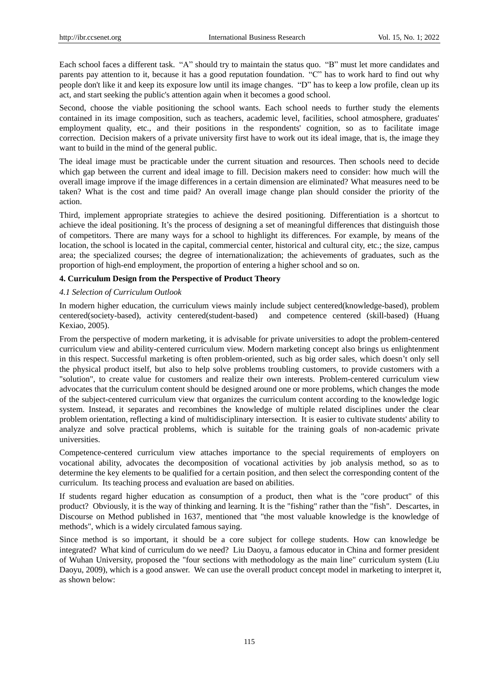Each school faces a different task. "A" should try to maintain the status quo. "B" must let more candidates and parents pay attention to it, because it has a good reputation foundation. "C" has to work hard to find out why people don't like it and keep its exposure low until its image changes. "D" has to keep a low profile, clean up its act, and start seeking the public's attention again when it becomes a good school.

Second, choose the viable positioning the school wants. Each school needs to further study the elements contained in its image composition, such as teachers, academic level, facilities, school atmosphere, graduates' employment quality, etc., and their positions in the respondents' cognition, so as to facilitate image correction. Decision makers of a private university first have to work out its ideal image, that is, the image they want to build in the mind of the general public.

The ideal image must be practicable under the current situation and resources. Then schools need to decide which gap between the current and ideal image to fill. Decision makers need to consider: how much will the overall image improve if the image differences in a certain dimension are eliminated? What measures need to be taken? What is the cost and time paid? An overall image change plan should consider the priority of the action.

Third, implement appropriate strategies to achieve the desired positioning. Differentiation is a shortcut to achieve the ideal positioning. It's the process of designing a set of meaningful differences that distinguish those of competitors. There are many ways for a school to highlight its differences. For example, by means of the location, the school is located in the capital, commercial center, historical and cultural city, etc.; the size, campus area; the specialized courses; the degree of internationalization; the achievements of graduates, such as the proportion of high-end employment, the proportion of entering a higher school and so on.

### **4. Curriculum Design from the Perspective of Product Theory**

### *4.1 Selection of Curriculum Outlook*

In modern higher education, the curriculum views mainly include subject centered(knowledge-based), problem centered(society-based), activity centered(student-based) and competence centered (skill-based) (Huang Kexiao, 2005).

From the perspective of modern marketing, it is advisable for private universities to adopt the problem-centered curriculum view and ability-centered curriculum view. Modern marketing concept also brings us enlightenment in this respect. Successful marketing is often problem-oriented, such as big order sales, which doesn't only sell the physical product itself, but also to help solve problems troubling customers, to provide customers with a "solution", to create value for customers and realize their own interests. Problem-centered curriculum view advocates that the curriculum content should be designed around one or more problems, which changes the mode of the subject-centered curriculum view that organizes the curriculum content according to the knowledge logic system. Instead, it separates and recombines the knowledge of multiple related disciplines under the clear problem orientation, reflecting a kind of multidisciplinary intersection. It is easier to cultivate students' ability to analyze and solve practical problems, which is suitable for the training goals of non-academic private universities.

Competence-centered curriculum view attaches importance to the special requirements of employers on vocational ability, advocates the decomposition of vocational activities by job analysis method, so as to determine the key elements to be qualified for a certain position, and then select the corresponding content of the curriculum. Its teaching process and evaluation are based on abilities.

If students regard higher education as consumption of a product, then what is the "core product" of this product? Obviously, it is the way of thinking and learning. It is the "fishing" rather than the "fish". Descartes, in Discourse on Method published in 1637, mentioned that "the most valuable knowledge is the knowledge of methods", which is a widely circulated famous saying.

Since method is so important, it should be a core subject for college students. How can knowledge be integrated? What kind of curriculum do we need? Liu Daoyu, a famous educator in China and former president of Wuhan University, proposed the "four sections with methodology as the main line" curriculum system (Liu Daoyu, 2009), which is a good answer. We can use the overall product concept model in marketing to interpret it, as shown below: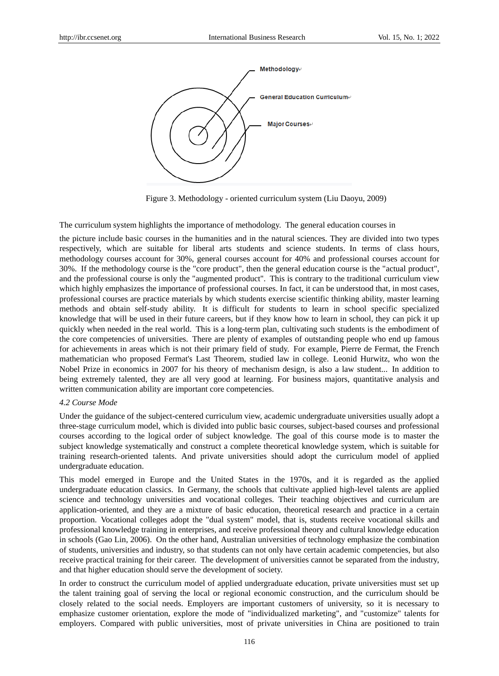

Figure 3. Methodology - oriented curriculum system (Liu Daoyu, 2009)

The curriculum system highlights the importance of methodology. The general education courses in

the picture include basic courses in the humanities and in the natural sciences. They are divided into two types respectively, which are suitable for liberal arts students and science students. In terms of class hours, methodology courses account for 30%, general courses account for 40% and professional courses account for 30%. If the methodology course is the "core product", then the general education course is the "actual product", and the professional course is only the "augmented product". This is contrary to the traditional curriculum view which highly emphasizes the importance of professional courses. In fact, it can be understood that, in most cases, professional courses are practice materials by which students exercise scientific thinking ability, master learning methods and obtain self-study ability. It is difficult for students to learn in school specific specialized knowledge that will be used in their future careers, but if they know how to learn in school, they can pick it up quickly when needed in the real world. This is a long-term plan, cultivating such students is the embodiment of the core competencies of universities. There are plenty of examples of outstanding people who end up famous for achievements in areas which is not their primary field of study. For example, Pierre de Fermat, the French mathematician who proposed Fermat's Last Theorem, studied law in college. Leonid Hurwitz, who won the Nobel Prize in economics in 2007 for his theory of mechanism design, is also a law student... In addition to being extremely talented, they are all very good at learning. For business majors, quantitative analysis and written communication ability are important core competencies.

#### *4.2 Course Mode*

Under the guidance of the subject-centered curriculum view, academic undergraduate universities usually adopt a three-stage curriculum model, which is divided into public basic courses, subject-based courses and professional courses according to the logical order of subject knowledge. The goal of this course mode is to master the subject knowledge systematically and construct a complete theoretical knowledge system, which is suitable for training research-oriented talents. And private universities should adopt the curriculum model of applied undergraduate education.

This model emerged in Europe and the United States in the 1970s, and it is regarded as the applied undergraduate education classics. In Germany, the schools that cultivate applied high-level talents are applied science and technology universities and vocational colleges. Their teaching objectives and curriculum are application-oriented, and they are a mixture of basic education, theoretical research and practice in a certain proportion. Vocational colleges adopt the "dual system" model, that is, students receive vocational skills and professional knowledge training in enterprises, and receive professional theory and cultural knowledge education in schools (Gao Lin, 2006). On the other hand, Australian universities of technology emphasize the combination of students, universities and industry, so that students can not only have certain academic competencies, but also receive practical training for their career. The development of universities cannot be separated from the industry, and that higher education should serve the development of society.

In order to construct the curriculum model of applied undergraduate education, private universities must set up the talent training goal of serving the local or regional economic construction, and the curriculum should be closely related to the social needs. Employers are important customers of university, so it is necessary to emphasize customer orientation, explore the mode of "individualized marketing", and "customize" talents for employers. Compared with public universities, most of private universities in China are positioned to train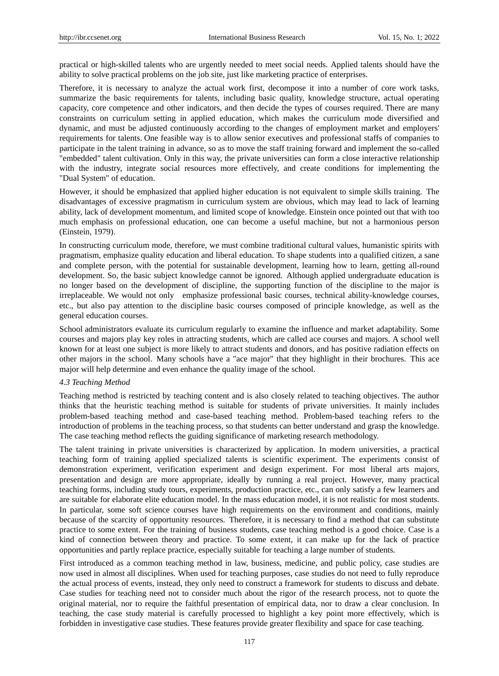practical or high-skilled talents who are urgently needed to meet social needs. Applied talents should have the ability to solve practical problems on the job site, just like marketing practice of enterprises.

Therefore, it is necessary to analyze the actual work first, decompose it into a number of core work tasks, summarize the basic requirements for talents, including basic quality, knowledge structure, actual operating capacity, core competence and other indicators, and then decide the types of courses required. There are many constraints on curriculum setting in applied education, which makes the curriculum mode diversified and dynamic, and must be adjusted continuously according to the changes of employment market and employers' requirements for talents. One feasible way is to allow senior executives and professional staffs of companies to participate in the talent training in advance, so as to move the staff training forward and implement the so-called "embedded" talent cultivation. Only in this way, the private universities can form a close interactive relationship with the industry, integrate social resources more effectively, and create conditions for implementing the "Dual System" of education.

However, it should be emphasized that applied higher education is not equivalent to simple skills training. The disadvantages of excessive pragmatism in curriculum system are obvious, which may lead to lack of learning ability, lack of development momentum, and limited scope of knowledge. Einstein once pointed out that with too much emphasis on professional education, one can become a useful machine, but not a harmonious person (Einstein, 1979).

In constructing curriculum mode, therefore, we must combine traditional cultural values, humanistic spirits with pragmatism, emphasize quality education and liberal education. To shape students into a qualified citizen, a sane and complete person, with the potential for sustainable development, learning how to learn, getting all-round development. So, the basic subject knowledge cannot be ignored. Although applied undergraduate education is no longer based on the development of discipline, the supporting function of the discipline to the major is irreplaceable. We would not only emphasize professional basic courses, technical ability-knowledge courses, etc., but also pay attention to the discipline basic courses composed of principle knowledge, as well as the general education courses.

School administrators evaluate its curriculum regularly to examine the influence and market adaptability. Some courses and majors play key roles in attracting students, which are called ace courses and majors. A school well known for at least one subject is more likely to attract students and donors, and has positive radiation effects on other majors in the school. Many schools have a "ace major" that they highlight in their brochures. This ace major will help determine and even enhance the quality image of the school.

#### *4.3 Teaching Method*

Teaching method is restricted by teaching content and is also closely related to teaching objectives. The author thinks that the heuristic teaching method is suitable for students of private universities. It mainly includes problem-based teaching method and case-based teaching method. Problem-based teaching refers to the introduction of problems in the teaching process, so that students can better understand and grasp the knowledge. The case teaching method reflects the guiding significance of marketing research methodology.

The talent training in private universities is characterized by application. In modern universities, a practical teaching form of training applied specialized talents is scientific experiment. The experiments consist of demonstration experiment, verification experiment and design experiment. For most liberal arts majors, presentation and design are more appropriate, ideally by running a real project. However, many practical teaching forms, including study tours, experiments, production practice, etc., can only satisfy a few learners and are suitable for elaborate elite education model. In the mass education model, it is not realistic for most students. In particular, some soft science courses have high requirements on the environment and conditions, mainly because of the scarcity of opportunity resources. Therefore, it is necessary to find a method that can substitute practice to some extent. For the training of business students, case teaching method is a good choice. Case is a kind of connection between theory and practice. To some extent, it can make up for the lack of practice opportunities and partly replace practice, especially suitable for teaching a large number of students.

First introduced as a common teaching method in law, business, medicine, and public policy, case studies are now used in almost all disciplines. When used for teaching purposes, case studies do not need to fully reproduce the actual process of events, instead, they only need to construct a framework for students to discuss and debate. Case studies for teaching need not to consider much about the rigor of the research process, not to quote the original material, nor to require the faithful presentation of empirical data, nor to draw a clear conclusion. In teaching, the case study material is carefully processed to highlight a key point more effectively, which is forbidden in investigative case studies. These features provide greater flexibility and space for case teaching.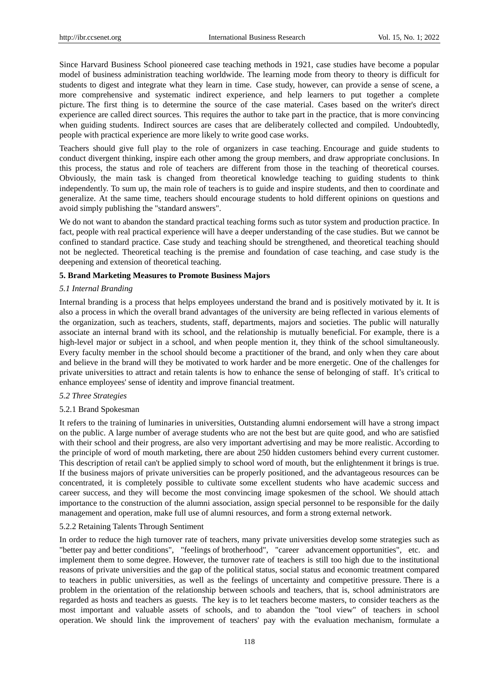Since Harvard Business School pioneered case teaching methods in 1921, case studies have become a popular model of business administration teaching worldwide. The learning mode from theory to theory is difficult for students to digest and integrate what they learn in time. Case study, however, can provide a sense of scene, a more comprehensive and systematic indirect experience, and help learners to put together a complete picture. The first thing is to determine the source of the case material. Cases based on the writer's direct experience are called direct sources. This requires the author to take part in the practice, that is more convincing when guiding students. Indirect sources are cases that are deliberately collected and compiled. Undoubtedly, people with practical experience are more likely to write good case works.

Teachers should give full play to the role of organizers in case teaching. Encourage and guide students to conduct divergent thinking, inspire each other among the group members, and draw appropriate conclusions. In this process, the status and role of teachers are different from those in the teaching of theoretical courses. Obviously, the main task is changed from theoretical knowledge teaching to guiding students to think independently. To sum up, the main role of teachers is to guide and inspire students, and then to coordinate and generalize. At the same time, teachers should encourage students to hold different opinions on questions and avoid simply publishing the "standard answers".

We do not want to abandon the standard practical teaching forms such as tutor system and production practice. In fact, people with real practical experience will have a deeper understanding of the case studies. But we cannot be confined to standard practice. Case study and teaching should be strengthened, and theoretical teaching should not be neglected. Theoretical teaching is the premise and foundation of case teaching, and case study is the deepening and extension of theoretical teaching.

### **5. Brand Marketing Measures to Promote Business Majors**

### *5.1 Internal Branding*

Internal branding is a process that helps employees understand the brand and is positively motivated by it. It is also a process in which the overall brand advantages of the university are being reflected in various elements of the organization, such as teachers, students, staff, departments, majors and societies. The public will naturally associate an internal brand with its school, and the relationship is mutually beneficial. For example, there is a high-level major or subject in a school, and when people mention it, they think of the school simultaneously. Every faculty member in the school should become a practitioner of the brand, and only when they care about and believe in the brand will they be motivated to work harder and be more energetic. One of the challenges for private universities to attract and retain talents is how to enhance the sense of belonging of staff. It's critical to enhance employees' sense of identity and improve financial treatment.

#### *5.2 Three Strategies*

#### 5.2.1 Brand Spokesman

It refers to the training of luminaries in universities, Outstanding alumni endorsement will have a strong impact on the public. A large number of average students who are not the best but are quite good, and who are satisfied with their school and their progress, are also very important advertising and may be more realistic. According to the principle of word of mouth marketing, there are about 250 hidden customers behind every current customer. This description of retail can't be applied simply to school word of mouth, but the enlightenment it brings is true. If the business majors of private universities can be properly positioned, and the advantageous resources can be concentrated, it is completely possible to cultivate some excellent students who have academic success and career success, and they will become the most convincing image spokesmen of the school. We should attach importance to the construction of the alumni association, assign special personnel to be responsible for the daily management and operation, make full use of alumni resources, and form a strong external network.

## 5.2.2 Retaining Talents Through Sentiment

In order to reduce the high turnover rate of teachers, many private universities develop some strategies such as "better pay and better conditions", "feelings of brotherhood", "career advancement opportunities", etc. and implement them to some degree. However, the turnover rate of teachers is still too high due to the institutional reasons of private universities and the gap of the political status, social status and economic treatment compared to teachers in public universities, as well as the feelings of uncertainty and competitive pressure. There is a problem in the orientation of the relationship between schools and teachers, that is, school administrators are regarded as hosts and teachers as guests. The key is to let teachers become masters, to consider teachers as the most important and valuable assets of schools, and to abandon the "tool view" of teachers in school operation. We should link the improvement of teachers' pay with the evaluation mechanism, formulate a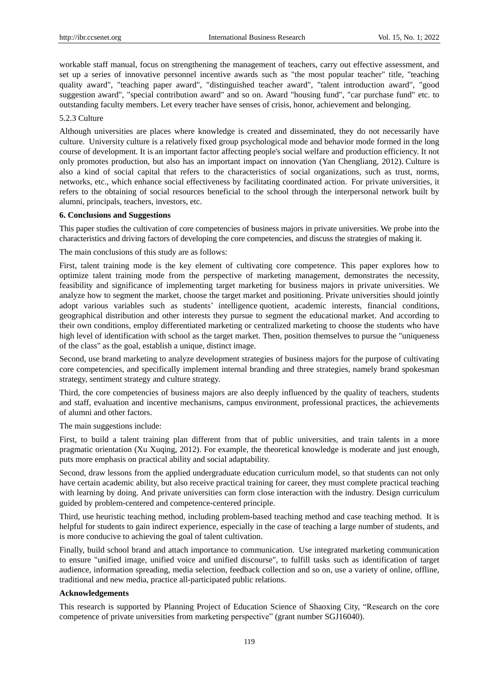workable staff manual, focus on strengthening the management of teachers, carry out effective assessment, and set up a series of innovative personnel incentive awards such as "the most popular teacher" title, "teaching quality award", "teaching paper award", "distinguished teacher award", "talent introduction award", "good suggestion award", "special contribution award" and so on. Award "housing fund", "car purchase fund" etc. to outstanding faculty members. Let every teacher have senses of crisis, honor, achievement and belonging.

#### 5.2.3 Culture

Although universities are places where knowledge is created and disseminated, they do not necessarily have culture. University culture is a relatively fixed group psychological mode and behavior mode formed in the long course of development. It is an important factor affecting people's social welfare and production efficiency. It not only promotes production, but also has an important impact on innovation (Yan Chengliang, 2012). Culture is also a kind of social capital that refers to the characteristics of social organizations, such as trust, norms, networks, etc., which enhance social effectiveness by facilitating coordinated action. For private universities, it refers to the obtaining of social resources beneficial to the school through the interpersonal network built by alumni, principals, teachers, investors, etc.

#### **6. Conclusions and Suggestions**

This paper studies the cultivation of core competencies of business majors in private universities. We probe into the characteristics and driving factors of developing the core competencies, and discuss the strategies of making it.

The main conclusions of this study are as follows:

First, talent training mode is the key element of cultivating core competence. This paper explores how to optimize talent training mode from the perspective of marketing management, demonstrates the necessity, feasibility and significance of implementing target marketing for business majors in private universities. We analyze how to segment the market, choose the target market and positioning. Private universities should jointly adopt various variables such as students' [intelligence](javascript:;) [quotient,](javascript:;) academic interests, financial conditions, geographical distribution and other interests they pursue to segment the educational market. And according to their own conditions, employ differentiated marketing or centralized marketing to choose the students who have high level of identification with school as the target market. Then, position themselves to pursue the "uniqueness of the class" as the goal, establish a unique, distinct image.

Second, use brand marketing to analyze development strategies of business majors for the purpose of cultivating core competencies, and specifically implement internal branding and three strategies, namely brand spokesman strategy, sentiment strategy and culture strategy.

Third, the core competencies of business majors are also deeply influenced by the quality of teachers, students and staff, evaluation and incentive mechanisms, campus environment, professional practices, the achievements of alumni and other factors.

The main suggestions include:

First, to build a talent training plan different from that of public universities, and train talents in a more pragmatic orientation (Xu Xuqing, 2012). For example, the theoretical knowledge is moderate and just enough, puts more emphasis on practical ability and social adaptability.

Second, draw lessons from the applied undergraduate education curriculum model, so that students can not only have certain academic ability, but also receive practical training for career, they must complete practical teaching with learning by doing. And private universities can form close interaction with the industry. Design curriculum guided by problem-centered and competence-centered principle.

Third, use heuristic teaching method, including problem-based teaching method and case teaching method. It is helpful for students to gain indirect experience, especially in the case of teaching a large number of students, and is more conducive to achieving the goal of talent cultivation.

Finally, build school brand and attach importance to communication. Use integrated marketing communication to ensure "unified image, unified voice and unified discourse", to fulfill tasks such as identification of target audience, information spreading, media selection, feedback collection and so on, use a variety of online, offline, traditional and new media, practice all-participated public relations.

#### **Acknowledgements**

This research is supported by Planning Project of Education Science of Shaoxing City, "Research on the core competence of private universities from marketing perspective" (grant number SGJ16040).